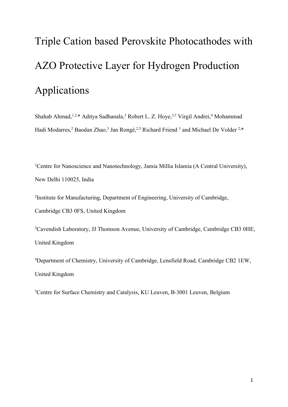# Triple Cation based Perovskite Photocathodes with AZO Protective Layer for Hydrogen Production Applications

Shahab Ahmad,<sup>1,2,\*</sup> Aditya Sadhanala,<sup>3</sup> Robert L. Z. Hoye,<sup>3,†</sup> Virgil Andrei,<sup>4</sup> Mohammad Hadi Modarres,<sup>2</sup> Baodan Zhao,<sup>3</sup> Jan Rongé,<sup>2,5</sup> Richard Friend<sup>3</sup> and Michael De Volder<sup>2,\*</sup>

<sup>1</sup>Centre for Nanoscience and Nanotechnology, Jamia Millia Islamia (A Central University), New Delhi 110025, India

<sup>2</sup>Institute for Manufacturing, Department of Engineering, University of Cambridge, Cambridge CB3 0FS, United Kingdom

<sup>3</sup>Cavendish Laboratory, JJ Thomson Avenue, University of Cambridge, Cambridge CB3 0HE, United Kingdom

<sup>4</sup>Department of Chemistry, University of Cambridge, Lensfield Road, Cambridge CB2 1EW, United Kingdom

<sup>5</sup>Centre for Surface Chemistry and Catalysis, KU Leuven, B-3001 Leuven, Belgium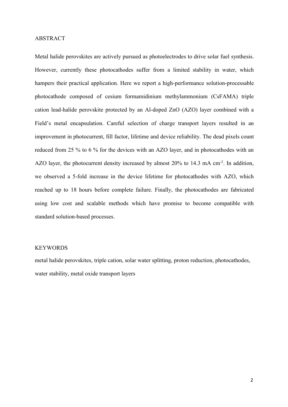# ABSTRACT

Metal halide perovskites are actively pursued as photoelectrodes to drive solar fuel synthesis. However, currently these photocathodes suffer from a limited stability in water, which hampers their practical application. Here we report a high-performance solution-processable photocathode composed of cesium formamidinium methylammonium (CsFAMA) triple cation lead-halide perovskite protected by an Al-doped ZnO (AZO) layer combined with a Field's metal encapsulation. Careful selection of charge transport layers resulted in an improvement in photocurrent, fill factor, lifetime and device reliability. The dead pixels count reduced from 25 % to 6 % for the devices with an AZO layer, and in photocathodes with an AZO layer, the photocurrent density increased by almost 20% to 14.3 mA cm<sup>-2</sup>. In addition, we observed a 5-fold increase in the device lifetime for photocathodes with AZO, which reached up to 18 hours before complete failure. Finally, the photocathodes are fabricated using low cost and scalable methods which have promise to become compatible with standard solution-based processes.

# **KEYWORDS**

metal halide perovskites, triple cation, solar water splitting, proton reduction, photocathodes, water stability, metal oxide transport layers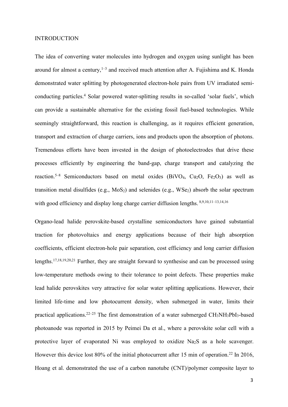#### INTRODUCTION

The idea of converting water molecules into hydrogen and oxygen using sunlight has been around for almost a century, $1-3$  and received much attention after A. Fujishima and K. Honda demonstrated water splitting by photogenerated electron-hole pairs from UV irradiated semiconducting particles.<sup>4</sup> Solar powered water-splitting results in so-called 'solar fuels', which can provide a sustainable alternative for the existing fossil fuel-based technologies. While seemingly straightforward, this reaction is challenging, as it requires efficient generation, transport and extraction of charge carriers, ions and products upon the absorption of photons. Tremendous efforts have been invested in the design of photoelectrodes that drive these processes efficiently by engineering the band-gap, charge transport and catalyzing the reaction.<sup>5–8</sup> Semiconductors based on metal oxides (BiVO<sub>4</sub>, Cu<sub>2</sub>O, Fe<sub>2</sub>O<sub>3</sub>) as well as transition metal disulfides (e.g.,  $MoS<sub>2</sub>$ ) and selenides (e.g.,  $WSe<sub>2</sub>$ ) absorb the solar spectrum with good efficiency and display long charge carrier diffusion lengths.  $8,9,10,11-13,14,16$ 

Organo-lead halide perovskite-based crystalline semiconductors have gained substantial traction for photovoltaics and energy applications because of their high absorption coefficients, efficient electron-hole pair separation, cost efficiency and long carrier diffusion lengths.17,18,19,20,21 Further, they are straight forward to synthesise and can be processed using low-temperature methods owing to their tolerance to point defects. These properties make lead halide perovskites very attractive for solar water splitting applications. However, their limited life-time and low photocurrent density, when submerged in water, limits their practical applications.<sup>22–25</sup> The first demonstration of a water submerged  $CH_3NH_3PbI_3$ -based photoanode was reported in 2015 by Peimei Da et al., where a perovskite solar cell with a protective layer of evaporated Ni was employed to oxidize Na2S as a hole scavenger. However this device lost 80% of the initial photocurrent after 15 min of operation.<sup>22</sup> In 2016, Hoang et al. demonstrated the use of a carbon nanotube (CNT)/polymer composite layer to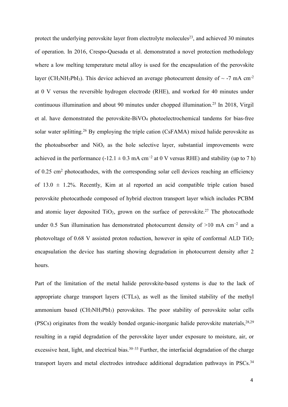protect the underlying perovskite layer from electrolyte molecules<sup>23</sup>, and achieved 30 minutes of operation. In 2016, Crespo-Quesada et al. demonstrated a novel protection methodology where a low melting temperature metal alloy is used for the encapsulation of the perovskite layer (CH<sub>3</sub>NH<sub>3</sub>PbI<sub>3</sub>). This device achieved an average photocurrent density of  $\sim$  -7 mA cm<sup>-2</sup> at 0 V versus the reversible hydrogen electrode (RHE), and worked for 40 minutes under continuous illumination and about 90 minutes under chopped illumination.<sup>25</sup> In 2018, Virgil et al. have demonstrated the perovskite-BiVO<sup>4</sup> photoelectrochemical tandems for bias-free solar water splitting.<sup>26</sup> By employing the triple cation (CsFAMA) mixed halide perovskite as the photoabsorber and  $NiO<sub>x</sub>$  as the hole selective layer, substantial improvements were achieved in the performance (-12.1  $\pm$  0.3 mA cm<sup>-2</sup> at 0 V versus RHE) and stability (up to 7 h) of 0.25  $\text{cm}^2$  photocathodes, with the corresponding solar cell devices reaching an efficiency of  $13.0 \pm 1.2$ %. Recently, Kim at al reported an acid compatible triple cation based perovskite photocathode composed of hybrid electron transport layer which includes PCBM and atomic layer deposited  $TiO<sub>2</sub>$ , grown on the surface of perovskite.<sup>27</sup> The photocathode under 0.5 Sun illumination has demonstrated photocurrent density of >10 mA cm−2 and a photovoltage of 0.68 V assisted proton reduction, however in spite of conformal ALD  $TiO<sub>2</sub>$ encapsulation the device has starting showing degradation in photocurrent density after 2 hours.

Part of the limitation of the metal halide perovskite-based systems is due to the lack of appropriate charge transport layers (CTLs), as well as the limited stability of the methyl ammonium based (CH3NH3PbI3) perovskites. The poor stability of perovskite solar cells (PSCs) originates from the weakly bonded organic-inorganic halide perovskite materials,  $28,29$ resulting in a rapid degradation of the perovskite layer under exposure to moisture, air, or excessive heat, light, and electrical bias.<sup>30–33</sup> Further, the interfacial degradation of the charge transport layers and metal electrodes introduce additional degradation pathways in PSCs.<sup>34</sup>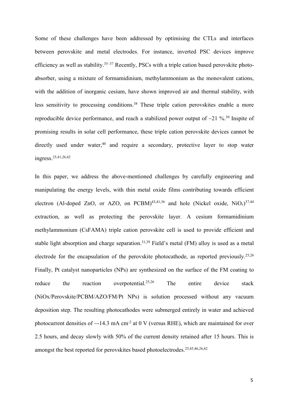Some of these challenges have been addressed by optimising the CTLs and interfaces between perovskite and metal electrodes. For instance, inverted PSC devices improve efficiency as well as stability.<sup>35–37</sup> Recently, PSCs with a triple cation based perovskite photoabsorber, using a mixture of formamidinium, methylammonium as the monovalent cations, with the addition of inorganic cesium, have shown improved air and thermal stability, with less sensitivity to processing conditions.<sup>38</sup> These triple cation perovskites enable a more reproducible device performance, and reach a stabilized power output of  $\sim$ 21 %.<sup>39</sup> Inspite of promising results in solar cell performance, these triple cation perovskite devices cannot be directly used under water, $40$  and require a secondary, protective layer to stop water ingress.25,41,26,42

In this paper, we address the above-mentioned challenges by carefully engineering and manipulating the energy levels, with thin metal oxide films contributing towards efficient electron (Al-doped ZnO, or AZO, on PCBM)<sup>43,41,36</sup> and hole (Nickel oxide, NiO<sub>x</sub>)<sup>37,44</sup> extraction, as well as protecting the perovskite layer. A cesium formamidinium methylammonium (CsFAMA) triple cation perovskite cell is used to provide efficient and stable light absorption and charge separation.<sup>31,39</sup> Field's metal (FM) alloy is used as a metal electrode for the encapsulation of the perovskite photocathode, as reported previously.<sup>25,26</sup> Finally, Pt catalyst nanoparticles (NPs) are synthesized on the surface of the FM coating to reduce the reaction overpotential.<sup>25,26</sup> The entire device stack (NiOx/Perovskite/PCBM/AZO/FM/Pt NPs) is solution processed without any vacuum deposition step. The resulting photocathodes were submerged entirely in water and achieved photocurrent densities of  $\sim$ -14.3 mA cm<sup>-2</sup> at 0 V (versus RHE), which are maintained for over 2.5 hours, and decay slowly with 50% of the current density retained after 15 hours. This is amongst the best reported for perovskites based photoelectrodes.25,45,46,26,42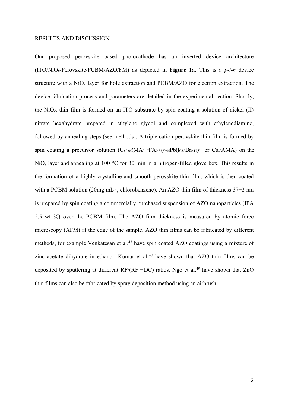#### RESULTS AND DISCUSSION

Our proposed perovskite based photocathode has an inverted device architecture (ITO/NiOx/Perovskite/PCBM/AZO/FM) as depicted in **Figure 1a.** This is a *p-i-n* device structure with a  $NiO<sub>x</sub>$  layer for hole extraction and PCBM/AZO for electron extraction. The device fabrication process and parameters are detailed in the experimental section. Shortly, the NiOx thin film is formed on an ITO substrate by spin coating a solution of nickel (II) nitrate hexahydrate prepared in ethylene glycol and complexed with ethylenediamine, followed by annealing steps (see methods). A triple cation perovskite thin film is formed by spin coating a precursor solution  $(Cs_{0.05}(MA_{0.17}FA_{0.83})_{0.95}Pb(I_{0.83}Br_{0.17})$  or CsFAMA) on the  $NiO<sub>x</sub>$  layer and annealing at 100 °C for 30 min in a nitrogen-filled glove box. This results in the formation of a highly crystalline and smooth perovskite thin film, which is then coated with a PCBM solution (20mg mL<sup>-1</sup>, chlorobenzene). An AZO thin film of thickness  $37\pm2$  nm is prepared by spin coating a commercially purchased suspension of AZO nanoparticles (IPA 2.5 wt %) over the PCBM film. The AZO film thickness is measured by atomic force microscopy (AFM) at the edge of the sample. AZO thin films can be fabricated by different methods, for example Venkatesan et al.<sup>47</sup> have spin coated AZO coatings using a mixture of zinc acetate dihydrate in ethanol. Kumar et al.<sup>48</sup> have shown that AZO thin films can be deposited by sputtering at different  $RF/(RF+DC)$  ratios. Ngo et al.<sup>49</sup> have shown that ZnO thin films can also be fabricated by spray deposition method using an airbrush.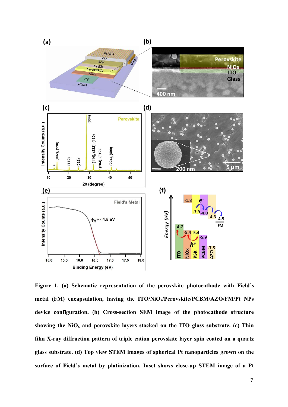

**Figure 1. (a) Schematic representation of the perovskite photocathode with Field's metal (FM) encapsulation, having the ITO/NiOx/Perovskite/PCBM/AZO/FM/Pt NPs device configuration. (b) Cross-section SEM image of the photocathode structure showing the NiO<sup>x</sup> and perovskite layers stacked on the ITO glass substrate. (c) Thin film X-ray diffraction pattern of triple cation perovskite layer spin coated on a quartz glass substrate. (d) Top view STEM images of spherical Pt nanoparticles grown on the surface of Field's metal by platinization. Inset shows close-up STEM image of a Pt**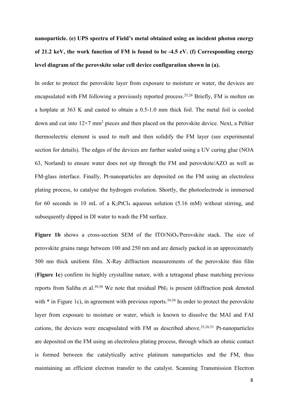**nanoparticle. (e) UPS spectra of Field's metal obtained using an incident photon energy of 21.2 keV, the work function of FM is found to be -4.5 eV. (f) Corresponding energy level diagram of the perovskite solar cell device configuration shown in (a).**

In order to protect the perovskite layer from exposure to moisture or water, the devices are encapsulated with FM following a previously reported process.<sup>25,26</sup> Briefly, FM is molten on a hotplate at 363 K and casted to obtain a 0.5-1.0 mm thick foil. The metal foil is cooled down and cut into  $12\times7$  mm<sup>2</sup> pieces and then placed on the perovskite device. Next, a Peltier thermoelectric element is used to melt and then solidify the FM layer (see experimental section for details). The edges of the devices are further sealed using a UV curing glue (NOA 63, Norland) to ensure water does not sip through the FM and perovskite/AZO as well as FM-glass interface. Finally, Pt-nanoparticles are deposited on the FM using an electroless plating process, to catalyse the hydrogen evolution. Shortly, the photoelectrode is immersed for 60 seconds in 10 mL of a  $K_2PtCl_4$  aqueous solution (5.16 mM) without stirring, and subsequently dipped in DI water to wash the FM surface.

Figure 1b shows a cross-section SEM of the ITO/NiO<sub>x</sub>/Perovskite stack. The size of perovskite grains range between 100 and 250 nm and are densely packed in an approximately 500 nm thick uniform film. X-Ray diffraction measurements of the perovskite thin film (**Figure 1c**) confirm its highly crystalline nature, with a tetragonal phase matching previous reports from Saliba et al.<sup>39,50</sup> We note that residual  $PbI<sub>2</sub>$  is present (diffraction peak denoted with  $*$  in Figure 1c), in agreement with previous reports.<sup>39,50</sup> In order to protect the perovskite layer from exposure to moisture or water, which is known to dissolve the MAI and FAI cations, the devices were encapsulated with FM as described above.25,26,51 Pt-nanoparticles are deposited on the FM using an electroless plating process, through which an ohmic contact is formed between the catalytically active platinum nanoparticles and the FM, thus maintaining an efficient electron transfer to the catalyst. Scanning Transmission Electron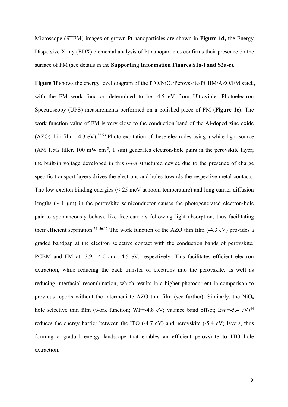Microscope (STEM) images of grown Pt nanoparticles are shown in **Figure 1d,** the Energy Dispersive X-ray (EDX) elemental analysis of Pt nanoparticles confirms their presence on the surface of FM (see details in the **Supporting Information Figures S1a-f and S2a-c).**

Figure 1f shows the energy level diagram of the ITO/NiO<sub>x</sub>/Perovskite/PCBM/AZO/FM stack, with the FM work function determined to be -4.5 eV from Ultraviolet Photoelectron Spectroscopy (UPS) measurements performed on a polished piece of FM (**Figure 1e**). The work function value of FM is very close to the conduction band of the Al-doped zinc oxide (AZO) thin film  $(-4.3 \text{ eV})$ .<sup>52,53</sup> Photo-excitation of these electrodes using a white light source (AM 1.5G filter, 100 mW  $\text{cm}^{-2}$ , 1 sun) generates electron-hole pairs in the perovskite layer; the built-in voltage developed in this *p-i-n* structured device due to the presence of charge specific transport layers drives the electrons and holes towards the respective metal contacts. The low exciton binding energies (< 25 meV at room-temperature) and long carrier diffusion lengths  $(\sim 1 \mu m)$  in the perovskite semiconductor causes the photogenerated electron-hole pair to spontaneously behave like free-carriers following light absorption, thus facilitating their efficient separation.<sup>54–56,17</sup> The work function of the AZO thin film  $(-4.3 \text{ eV})$  provides a graded bandgap at the electron selective contact with the conduction bands of perovskite, PCBM and FM at -3.9, -4.0 and -4.5 eV, respectively. This facilitates efficient electron extraction, while reducing the back transfer of electrons into the perovskite, as well as reducing interfacial recombination, which results in a higher photocurrent in comparison to previous reports without the intermediate AZO thin film (see further). Similarly, the  $NiO<sub>x</sub>$ hole selective thin film (work function; WF=-4.8 eV; valance band offset;  $E_{VB}$ =-5.4 eV)<sup>44</sup> reduces the energy barrier between the ITO (-4.7 eV) and perovskite (-5.4 eV) layers, thus forming a gradual energy landscape that enables an efficient perovskite to ITO hole extraction.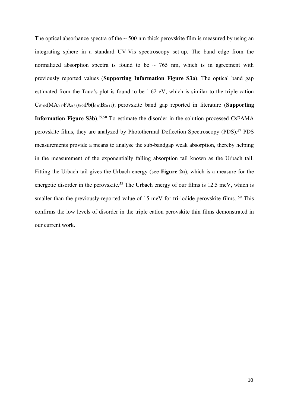The optical absorbance spectra of the  $\sim$  500 nm thick perovskite film is measured by using an integrating sphere in a standard UV-Vis spectroscopy set-up. The band edge from the normalized absorption spectra is found to be  $\sim$  765 nm, which is in agreement with previously reported values (**Supporting Information Figure S3a**). The optical band gap estimated from the Tauc's plot is found to be 1.62 eV, which is similar to the triple cation Cs0.05(MA0.17FA0.83)0.95Pb(I0.83Br0.17)<sup>3</sup> perovskite band gap reported in literature (**Supporting Information Figure S3b**).<sup>39,50</sup> To estimate the disorder in the solution processed CsFAMA perovskite films, they are analyzed by Photothermal Deflection Spectroscopy (PDS).<sup>57</sup> PDS measurements provide a means to analyse the sub-bandgap weak absorption, thereby helping in the measurement of the exponentially falling absorption tail known as the Urbach tail. Fitting the Urbach tail gives the Urbach energy (see **Figure 2a**), which is a measure for the energetic disorder in the perovskite.<sup>58</sup> The Urbach energy of our films is 12.5 meV, which is smaller than the previously-reported value of 15 meV for tri-iodide perovskite films. <sup>59</sup> This confirms the low levels of disorder in the triple cation perovskite thin films demonstrated in our current work.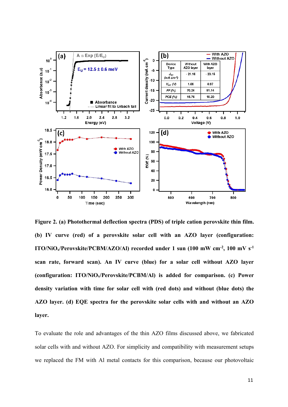

**Figure 2. (a) Photothermal deflection spectra (PDS) of triple cation perovskite thin film. (b) IV curve (red) of a perovskite solar cell with an AZO layer (configuration: ITO/NiOx/Perovskite/PCBM/AZO/Al) recorded under 1 sun (100 mW cm-2, 100 mV s-1 scan rate, forward scan). An IV curve (blue) for a solar cell without AZO layer (configuration: ITO/NiOx/Perovskite/PCBM/Al) is added for comparison. (c) Power density variation with time for solar cell with (red dots) and without (blue dots) the AZO layer. (d) EQE spectra for the perovskite solar cells with and without an AZO layer.**

To evaluate the role and advantages of the thin AZO films discussed above, we fabricated solar cells with and without AZO. For simplicity and compatibility with measurement setups we replaced the FM with Al metal contacts for this comparison, because our photovoltaic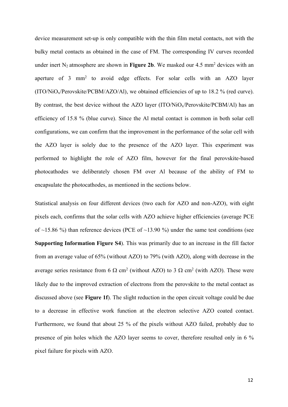device measurement set-up is only compatible with the thin film metal contacts, not with the bulky metal contacts as obtained in the case of FM. The corresponding IV curves recorded under inert  $N_2$  atmosphere are shown in **Figure 2b**. We masked our 4.5 mm<sup>2</sup> devices with an aperture of 3 mm<sup>2</sup> to avoid edge effects. For solar cells with an AZO layer  $(ITO/NiO<sub>x</sub>/Perovskite/PCBM/AZO/Al)$ , we obtained efficiencies of up to 18.2 % (red curve). By contrast, the best device without the AZO layer (ITO/NiO<sub>x</sub>/Perovskite/PCBM/Al) has an efficiency of 15.8 % (blue curve). Since the Al metal contact is common in both solar cell configurations, we can confirm that the improvement in the performance of the solar cell with the AZO layer is solely due to the presence of the AZO layer. This experiment was performed to highlight the role of AZO film, however for the final perovskite-based photocathodes we deliberately chosen FM over Al because of the ability of FM to encapsulate the photocathodes, as mentioned in the sections below.

Statistical analysis on four different devices (two each for AZO and non-AZO), with eight pixels each, confirms that the solar cells with AZO achieve higher efficiencies (average PCE of  $\sim$ 15.86 %) than reference devices (PCE of  $\sim$ 13.90 %) under the same test conditions (see **Supporting Information Figure S4**). This was primarily due to an increase in the fill factor from an average value of 65% (without AZO) to 79% (with AZO), along with decrease in the average series resistance from 6  $\Omega$  cm<sup>2</sup> (without AZO) to 3  $\Omega$  cm<sup>2</sup> (with AZO). These were likely due to the improved extraction of electrons from the perovskite to the metal contact as discussed above (see **Figure 1f**). The slight reduction in the open circuit voltage could be due to a decrease in effective work function at the electron selective AZO coated contact. Furthermore, we found that about 25 % of the pixels without AZO failed, probably due to presence of pin holes which the AZO layer seems to cover, therefore resulted only in 6 % pixel failure for pixels with AZO.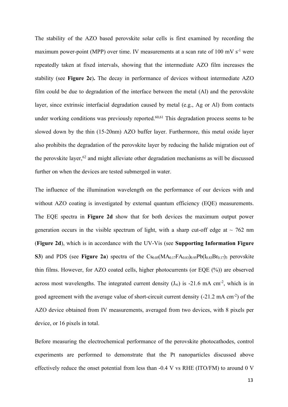The stability of the AZO based perovskite solar cells is first examined by recording the maximum power-point (MPP) over time. IV measurements at a scan rate of 100 mV s<sup>-1</sup> were repeatedly taken at fixed intervals, showing that the intermediate AZO film increases the stability (see **Figure 2c**)**.** The decay in performance of devices without intermediate AZO film could be due to degradation of the interface between the metal (Al) and the perovskite layer, since extrinsic interfacial degradation caused by metal (e.g., Ag or Al) from contacts under working conditions was previously reported.<sup>60,61</sup> This degradation process seems to be slowed down by the thin (15-20nm) AZO buffer layer. Furthermore, this metal oxide layer also prohibits the degradation of the perovskite layer by reducing the halide migration out of the perovskite layer, $62$  and might alleviate other degradation mechanisms as will be discussed further on when the devices are tested submerged in water.

The influence of the illumination wavelength on the performance of our devices with and without AZO coating is investigated by external quantum efficiency (EQE) measurements. The EQE spectra in **Figure 2d** show that for both devices the maximum output power generation occurs in the visible spectrum of light, with a sharp cut-off edge at  $\sim$  762 nm (**Figure 2d**), which is in accordance with the UV-Vis (see **Supporting Information Figure S3**) and PDS (see **Figure 2a**) spectra of the  $C_{s0.05}(MA_{0.17}FA_{0.83})_{0.95}Pb(I_{0.83}Br_{0.17})_3$  perovskite thin films. However, for AZO coated cells, higher photocurrents (or EQE (%)) are observed across most wavelengths. The integrated current density  $(J_{sc})$  is -21.6 mA cm<sup>-2</sup>, which is in good agreement with the average value of short-circuit current density (-21.2 mA cm-2) of the AZO device obtained from IV measurements, averaged from two devices, with 8 pixels per device, or 16 pixels in total.

Before measuring the electrochemical performance of the perovskite photocathodes, control experiments are performed to demonstrate that the Pt nanoparticles discussed above effectively reduce the onset potential from less than -0.4 V vs RHE (ITO/FM) to around 0 V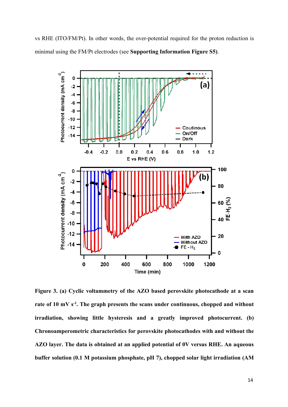vs RHE (ITO/FM/Pt). In other words, the over-potential required for the proton reduction is minimal using the FM/Pt electrodes (see **Supporting Information Figure S5)**.



**Figure 3. (a) Cyclic voltammetry of the AZO based perovskite photocathode at a scan rate of 10 mV s-1. The graph presents the scans under continuous, chopped and without irradiation, showing little hysteresis and a greatly improved photocurrent. (b) Chronoamperometric characteristics for perovskite photocathodes with and without the AZO layer. The data is obtained at an applied potential of 0V versus RHE. An aqueous buffer solution (0.1 M potassium phosphate, pH 7), chopped solar light irradiation (AM**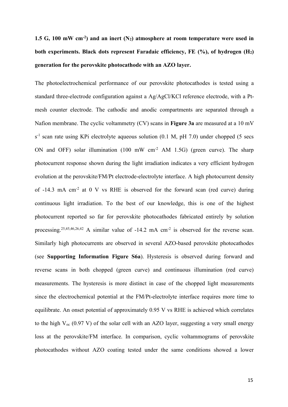**1.5 G, 100 mW cm-2) and an inert (N2) atmosphere at room temperature were used in both experiments. Black dots represent Faradaic efficiency, FE (%), of hydrogen (H2) generation for the perovskite photocathode with an AZO layer.**

The photoelectrochemical performance of our perovskite photocathodes is tested using a standard three-electrode configuration against a Ag/AgCl/KCl reference electrode, with a Ptmesh counter electrode. The cathodic and anodic compartments are separated through a Nafion membrane. The cyclic voltammetry (CV) scans in **Figure 3a** are measured at a 10 mV s<sup>-1</sup> scan rate using KPi electrolyte aqueous solution (0.1 M, pH 7.0) under chopped (5 secs ON and OFF) solar illumination (100 mW cm<sup>-2</sup> AM 1.5G) (green curve). The sharp photocurrent response shown during the light irradiation indicates a very efficient hydrogen evolution at the perovskite/FM/Pt electrode-electrolyte interface. A high photocurrent density of  $-14.3$  mA cm<sup>-2</sup> at 0 V vs RHE is observed for the forward scan (red curve) during continuous light irradiation. To the best of our knowledge, this is one of the highest photocurrent reported so far for perovskite photocathodes fabricated entirely by solution processing.<sup>25,45,46,26,42</sup> A similar value of -14.2 mA cm<sup>-2</sup> is observed for the reverse scan. Similarly high photocurrents are observed in several AZO-based perovskite photocathodes (see **Supporting Information Figure S6a**). Hysteresis is observed during forward and reverse scans in both chopped (green curve) and continuous illumination (red curve) measurements. The hysteresis is more distinct in case of the chopped light measurements since the electrochemical potential at the FM/Pt-electrolyte interface requires more time to equilibrate. An onset potential of approximately 0.95 V vs RHE is achieved which correlates to the high  $V_{\text{oc}}$  (0.97 V) of the solar cell with an AZO layer, suggesting a very small energy loss at the perovskite/FM interface. In comparison, cyclic voltammograms of perovskite photocathodes without AZO coating tested under the same conditions showed a lower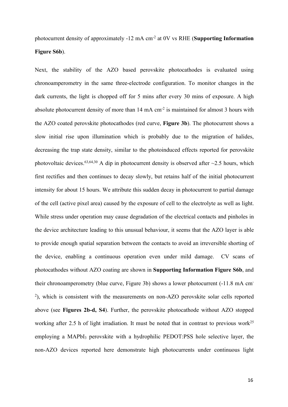photocurrent density of approximately -12 mA cm-2 at 0V vs RHE (**Supporting Information Figure S6b**).

Next, the stability of the AZO based perovskite photocathodes is evaluated using chronoamperometry in the same three-electrode configuration. To monitor changes in the dark currents, the light is chopped off for 5 mins after every 30 mins of exposure. A high absolute photocurrent density of more than  $14 \text{ mA cm}^2$  is maintained for almost 3 hours with the AZO coated perovskite photocathodes (red curve, **Figure 3b**). The photocurrent shows a slow initial rise upon illumination which is probably due to the migration of halides, decreasing the trap state density, similar to the photoinduced effects reported for perovskite photovoltaic devices.<sup>63,64,30</sup> A dip in photocurrent density is observed after  $\sim$ 2.5 hours, which first rectifies and then continues to decay slowly, but retains half of the initial photocurrent intensity for about 15 hours. We attribute this sudden decay in photocurrent to partial damage of the cell (active pixel area) caused by the exposure of cell to the electrolyte as well as light. While stress under operation may cause degradation of the electrical contacts and pinholes in the device architecture leading to this unusual behaviour, it seems that the AZO layer is able to provide enough spatial separation between the contacts to avoid an irreversible shorting of the device, enabling a continuous operation even under mild damage. CV scans of photocathodes without AZO coating are shown in **Supporting Information Figure S6b**, and their chronoamperometry (blue curve, Figure 3b) shows a lower photocurrent (-11.8 mA cm-<sup>2</sup>), which is consistent with the measurements on non-AZO perovskite solar cells reported above (see **Figures 2b-d, S4**). Further, the perovskite photocathode without AZO stopped working after 2.5 h of light irradiation. It must be noted that in contrast to previous work<sup>25</sup> employing a MAPbI<sub>3</sub> perovskite with a hydrophilic PEDOT:PSS hole selective layer, the non-AZO devices reported here demonstrate high photocurrents under continuous light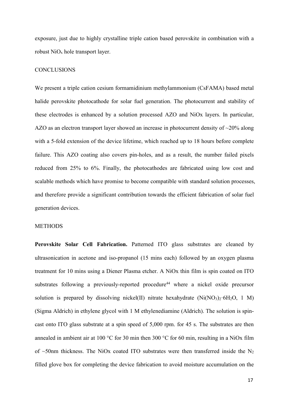exposure, just due to highly crystalline triple cation based perovskite in combination with a robust  $NiO<sub>x</sub>$  hole transport layer.

## **CONCLUSIONS**

We present a triple cation cesium formamidinium methylammonium (CsFAMA) based metal halide perovskite photocathode for solar fuel generation. The photocurrent and stability of these electrodes is enhanced by a solution processed AZO and NiOx layers. In particular, AZO as an electron transport layer showed an increase in photocurrent density of  $\sim$ 20% along with a 5-fold extension of the device lifetime, which reached up to 18 hours before complete failure. This AZO coating also covers pin-holes, and as a result, the number failed pixels reduced from 25% to 6%. Finally, the photocathodes are fabricated using low cost and scalable methods which have promise to become compatible with standard solution processes, and therefore provide a significant contribution towards the efficient fabrication of solar fuel generation devices.

# **METHODS**

**Perovskite Solar Cell Fabrication.** Patterned ITO glass substrates are cleaned by ultrasonication in acetone and iso-propanol (15 mins each) followed by an oxygen plasma treatment for 10 mins using a Diener Plasma etcher. A NiOx thin film is spin coated on ITO substrates following a previously-reported procedure<sup>44</sup> where a nickel oxide precursor solution is prepared by dissolving nickel(II) nitrate hexahydrate  $(Ni(NO<sub>3</sub>)<sub>2</sub>·6H<sub>2</sub>O, 1 M)$ (Sigma Aldrich) in ethylene glycol with 1 M ethylenediamine (Aldrich). The solution is spincast onto ITO glass substrate at a spin speed of 5,000 rpm. for 45 s. The substrates are then annealed in ambient air at 100 °C for 30 min then 300 °C for 60 min, resulting in a NiOx film of  $\sim$ 50nm thickness. The NiOx coated ITO substrates were then transferred inside the N<sub>2</sub> filled glove box for completing the device fabrication to avoid moisture accumulation on the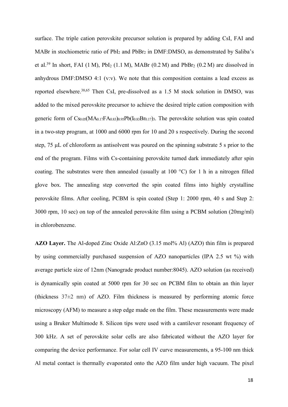surface. The triple cation perovskite precursor solution is prepared by adding CsI, FAI and MABr in stochiometric ratio of  $PbI_2$  and  $PbBr_2$  in DMF:DMSO, as demonstrated by Saliba's et al.<sup>39</sup> In short, FAI (1 $M$ ), PbI<sub>2</sub> (1.1 $M$ ), MABr (0.2 $M$ ) and PbBr<sub>2</sub> (0.2 $M$ ) are dissolved in anhydrous DMF:DMSO 4:1 (v:v). We note that this composition contains a lead excess as reported elsewhere.38,65 Then CsI, pre-dissolved as a 1.5 M stock solution in DMSO, was added to the mixed perovskite precursor to achieve the desired triple cation composition with generic form of  $CS_{0.05}(MA_{0.17}FA_{0.83})_{0.95}Pb(I_{0.83}Br_{0.17})_3$ . The perovskite solution was spin coated in a two-step program, at 1000 and 6000 rpm for 10 and 20 s respectively. During the second step, 75 μL of chloroform as antisolvent was poured on the spinning substrate 5 s prior to the end of the program. Films with Cs-containing perovskite turned dark immediately after spin coating. The substrates were then annealed (usually at 100 °C) for 1 h in a nitrogen filled glove box. The annealing step converted the spin coated films into highly crystalline perovskite films. After cooling, PCBM is spin coated (Step 1: 2000 rpm, 40 s and Step 2: 3000 rpm, 10 sec) on top of the annealed perovskite film using a PCBM solution (20mg/ml) in chlorobenzene.

**AZO Layer.** The Al-doped Zinc Oxide Al:ZnO (3.15 mol% Al) (AZO) thin film is prepared by using commercially purchased suspension of AZO nanoparticles (IPA 2.5 wt %) with average particle size of 12nm (Nanograde product number:8045). AZO solution (as received) is dynamically spin coated at 5000 rpm for 30 sec on PCBM film to obtain an thin layer (thickness  $37\pm2$  nm) of AZO. Film thickness is measured by performing atomic force microscopy (AFM) to measure a step edge made on the film. These measurements were made using a Bruker Multimode 8. Silicon tips were used with a cantilever resonant frequency of 300 kHz. A set of perovskite solar cells are also fabricated without the AZO layer for comparing the device performance. For solar cell IV curve measurements, a 95-100 nm thick Al metal contact is thermally evaporated onto the AZO film under high vacuum. The pixel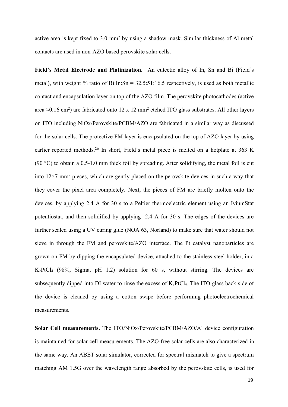active area is kept fixed to 3.0 mm<sup>2</sup> by using a shadow mask. Similar thickness of Al metal contacts are used in non-AZO based perovskite solar cells.

**Field's Metal Electrode and Platinization.** An eutectic alloy of In, Sn and Bi (Field's metal), with weight % ratio of Bi:In:Sn =  $32.5:51:16.5$  respectively, is used as both metallic contact and encapsulation layer on top of the AZO film. The perovskite photocathodes (active area  $\approx$ 0.16 cm<sup>2</sup>) are fabricated onto 12 x 12 mm<sup>2</sup> etched ITO glass substrates. All other layers on ITO including NiOx/Perovskite/PCBM/AZO are fabricated in a similar way as discussed for the solar cells. The protective FM layer is encapsulated on the top of AZO layer by using earlier reported methods.<sup>26</sup> In short, Field's metal piece is melted on a hotplate at 363 K (90 °C) to obtain a 0.5-1.0 mm thick foil by spreading. After solidifying, the metal foil is cut into  $12\times7$  mm<sup>2</sup> pieces, which are gently placed on the perovskite devices in such a way that they cover the pixel area completely. Next, the pieces of FM are briefly molten onto the devices, by applying 2.4 A for 30 s to a Peltier thermoelectric element using an IviumStat potentiostat, and then solidified by applying -2.4 A for 30 s. The edges of the devices are further sealed using a UV curing glue (NOA 63, Norland) to make sure that water should not sieve in through the FM and perovskite/AZO interface. The Pt catalyst nanoparticles are grown on FM by dipping the encapsulated device, attached to the stainless-steel holder, in a K2PtCl<sup>4</sup> (98%, Sigma, pH 1.2) solution for 60 s, without stirring. The devices are subsequently dipped into DI water to rinse the excess of  $K_2PtCl_4$ . The ITO glass back side of the device is cleaned by using a cotton swipe before performing photoelectrochemical measurements.

**Solar Cell measurements.** The ITO/NiOx/Perovskite/PCBM/AZO/Al device configuration is maintained for solar cell measurements. The AZO-free solar cells are also characterized in the same way. An ABET solar simulator, corrected for spectral mismatch to give a spectrum matching AM 1.5G over the wavelength range absorbed by the perovskite cells, is used for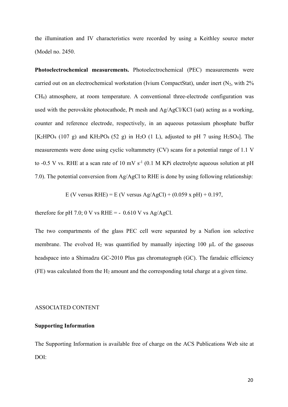the illumination and IV characteristics were recorded by using a Keithley source meter (Model no. 2450.

**Photoelectrochemical measurements.** Photoelectrochemical (PEC) measurements were carried out on an electrochemical workstation (Ivium CompactStat), under inert  $(N_2, \text{ with } 2\%$ CH4) atmosphere, at room temperature. A conventional three-electrode configuration was used with the perovskite photocathode, Pt mesh and Ag/AgCl/KCl (sat) acting as a working, counter and reference electrode, respectively, in an aqueous potassium phosphate buffer  $[K_2HPO_4 (107 g)$  and  $KH_2PO_4 (52 g)$  in H<sub>2</sub>O (1 L), adjusted to pH 7 using H<sub>2</sub>SO<sub>4</sub>]. The measurements were done using cyclic voltammetry (CV) scans for a potential range of 1.1 V to -0.5 V vs. RHE at a scan rate of 10 mV  $s^{-1}$  (0.1 M KPi electrolyte aqueous solution at pH 7.0). The potential conversion from Ag/AgCl to RHE is done by using following relationship:

E (V versus RHE) = E (V versus Ag/AgCl) +  $(0.059 \text{ x pH}) + 0.197$ ,

therefore for pH 7.0; 0 V vs RHE =  $-$  0.610 V vs Ag/AgCl.

The two compartments of the glass PEC cell were separated by a Nafion ion selective membrane. The evolved  $H_2$  was quantified by manually injecting 100  $\mu$ L of the gaseous headspace into a Shimadzu GC-2010 Plus gas chromatograph (GC). The faradaic efficiency  $(FE)$  was calculated from the  $H_2$  amount and the corresponding total charge at a given time.

# ASSOCIATED CONTENT

# **Supporting Information**

The Supporting Information is available free of charge on the ACS Publications Web site at DOI: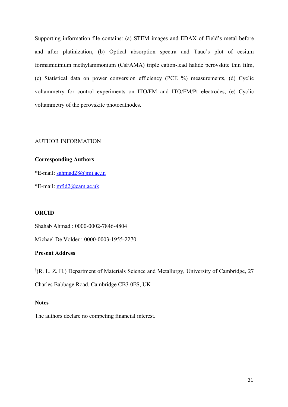Supporting information file contains: (a) STEM images and EDAX of Field's metal before and after platinization, (b) Optical absorption spectra and Tauc's plot of cesium formamidinium methylammonium (CsFAMA) triple cation-lead halide perovskite thin film, (c) Statistical data on power conversion efficiency (PCE %) measurements, (d) Cyclic voltammetry for control experiments on ITO/FM and ITO/FM/Pt electrodes, (e) Cyclic voltammetry of the perovskite photocathodes.

# AUTHOR INFORMATION

# **Corresponding Authors**

\*E-mail: [sahmad28@jmi.ac.in](mailto:sahmad28@jmi.ac.in)

\*E-mail: [mfld2@cam.ac.uk](mailto:mfld2@cam.ac.uk)

# **ORCID**

Shahab Ahmad : 0000-0002-7846-4804

Michael De Volder : 0000-0003-1955-2270

# **Present Address**

† (R. L. Z. H.) Department of Materials Science and Metallurgy, University of Cambridge, 27 Charles Babbage Road, Cambridge CB3 0FS, UK

# **Notes**

The authors declare no competing financial interest.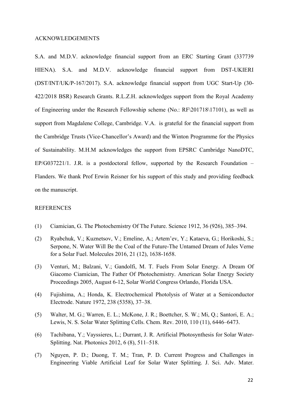#### ACKNOWLEDGEMENTS

S.A. and M.D.V. acknowledge financial support from an ERC Starting Grant (337739 HIENA). S.A. and M.D.V. acknowledge financial support from DST-UKIERI (DST/INT/UK/P-167/2017). S.A. acknowledge financial support from UGC Start-Up (30- 422/2018 BSR) Research Grants. R.L.Z.H. acknowledges support from the Royal Academy of Engineering under the Research Fellowship scheme (No.: RF\201718\17101), as well as support from Magdalene College, Cambridge. V.A. is grateful for the financial support from the Cambridge Trusts (Vice-Chancellor's Award) and the Winton Programme for the Physics of Sustainability. M.H.M acknowledges the support from EPSRC Cambridge NanoDTC, EP/G037221/1. J.R. is a postdoctoral fellow, supported by the Research Foundation – Flanders. We thank Prof Erwin Reisner for his support of this study and providing feedback on the manuscript.

## REFERENCES

- (1) Ciamician, G. The Photochemistry Of The Future. Science 1912, 36 (926), 385–394.
- (2) Ryabchuk, V.; Kuznetsov, V.; Emeline, A.; Artem'ev, Y.; Kataeva, G.; Horikoshi, S.; Serpone, N. Water Will Be the Coal of the Future-The Untamed Dream of Jules Verne for a Solar Fuel. Molecules 2016, 21 (12), 1638-1658.
- (3) Venturi, M.; Balzani, V.; Gandolfi, M. T. Fuels From Solar Energy. A Dream Of Giacomo Ciamician, The Father Of Photochemistry. American Solar Energy Society Proceedings 2005, August 6-12, Solar World Congress Orlando, Florida USA.
- (4) Fujishima, A.; Honda, K. Electrochemical Photolysis of Water at a Semiconductor Electrode. Nature 1972, 238 (5358), 37–38.
- (5) Walter, M. G.; Warren, E. L.; McKone, J. R.; Boettcher, S. W.; Mi, Q.; Santori, E. A.; Lewis, N. S. Solar Water Splitting Cells. Chem. Rev. 2010, 110 (11), 6446–6473.
- (6) Tachibana, Y.; Vayssieres, L.; Durrant, J. R. Artificial Photosynthesis for Solar Water-Splitting. Nat. Photonics 2012, 6 (8), 511–518.
- (7) Nguyen, P. D.; Duong, T. M.; Tran, P. D. Current Progress and Challenges in Engineering Viable Artificial Leaf for Solar Water Splitting. J. Sci. Adv. Mater.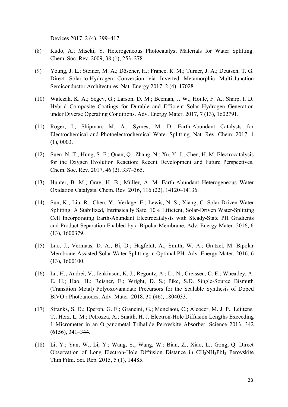Devices 2017, 2 (4), 399–417.

- (8) Kudo, A.; Miseki, Y. Heterogeneous Photocatalyst Materials for Water Splitting. Chem. Soc. Rev. 2009, 38 (1), 253–278.
- (9) Young, J. L.; Steiner, M. A.; Döscher, H.; France, R. M.; Turner, J. A.; Deutsch, T. G. Direct Solar-to-Hydrogen Conversion via Inverted Metamorphic Multi-Junction Semiconductor Architectures. Nat. Energy 2017, 2 (4), 17028.
- (10) Walczak, K. A.; Segev, G.; Larson, D. M.; Beeman, J. W.; Houle, F. A.; Sharp, I. D. Hybrid Composite Coatings for Durable and Efficient Solar Hydrogen Generation under Diverse Operating Conditions. Adv. Energy Mater. 2017, 7 (13), 1602791.
- (11) Roger, I.; Shipman, M. A.; Symes, M. D. Earth-Abundant Catalysts for Electrochemical and Photoelectrochemical Water Splitting. Nat. Rev. Chem. 2017, 1 (1), 0003.
- (12) Suen, N.-T.; Hung, S.-F.; Quan, Q.; Zhang, N.; Xu, Y.-J.; Chen, H. M. Electrocatalysis for the Oxygen Evolution Reaction: Recent Development and Future Perspectives. Chem. Soc. Rev. 2017, 46 (2), 337–365.
- (13) Hunter, B. M.; Gray, H. B.; Müller, A. M. Earth-Abundant Heterogeneous Water Oxidation Catalysts. Chem. Rev. 2016, 116 (22), 14120–14136.
- (14) Sun, K.; Liu, R.; Chen, Y.; Verlage, E.; Lewis, N. S.; Xiang, C. Solar-Driven Water Splitting: A Stabilized, Intrinsically Safe, 10% Efficient, Solar-Driven Water-Splitting Cell Incorporating Earth-Abundant Electrocatalysts with Steady-State PH Gradients and Product Separation Enabled by a Bipolar Membrane. Adv. Energy Mater. 2016, 6 (13), 1600379.
- (15) Luo, J.; Vermaas, D. A.; Bi, D.; Hagfeldt, A.; Smith, W. A.; Grätzel, M. Bipolar Membrane-Assisted Solar Water Splitting in Optimal PH. Adv. Energy Mater. 2016, 6 (13), 1600100.
- (16) Lu, H.; Andrei, V.; Jenkinson, K. J.; Regoutz, A.; Li, N.; Creissen, C. E.; Wheatley, A. E. H.; Hao, H.; Reisner, E.; Wright, D. S.; Pike, S.D. Single-Source Bismuth (Transition Metal) Polyoxovanadate Precursors for the Scalable Synthesis of Doped BiVO <sup>4</sup> Photoanodes. Adv. Mater. 2018, 30 (46), 1804033.
- (17) Stranks, S. D.; Eperon, G. E.; Grancini, G.; Menelaou, C.; Alcocer, M. J. P.; Leijtens, T.; Herz, L. M.; Petrozza, A.; Snaith, H. J. Electron-Hole Diffusion Lengths Exceeding 1 Micrometer in an Organometal Trihalide Perovskite Absorber. Science 2013, 342 (6156), 341–344.
- (18) Li, Y.; Yan, W.; Li, Y.; Wang, S.; Wang, W.; Bian, Z.; Xiao, L.; Gong, Q. Direct Observation of Long Electron-Hole Diffusion Distance in CH3NH3PbI<sup>3</sup> Perovskite Thin Film. Sci. Rep. 2015, 5 (1), 14485.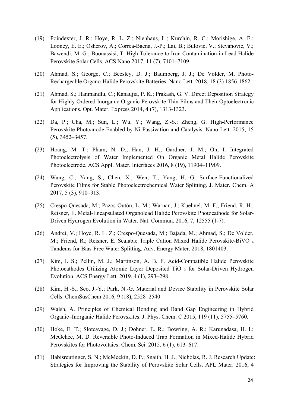- (19) Poindexter, J. R.; Hoye, R. L. Z.; Nienhaus, L.; Kurchin, R. C.; Morishige, A. E.; Looney, E. E.; Osherov, A.; Correa-Baena, J.-P.; Lai, B.; Bulović, V.; Stevanovic, V.; Bawendi, M. G.; Buonassisi, T. High Tolerance to Iron Contamination in Lead Halide Perovskite Solar Cells. ACS Nano 2017, 11 (7), 7101–7109.
- (20) Ahmad, S.; George, C.; Beesley, D. J.; Baumberg, J. J.; De Volder, M. Photo-Rechargeable Organo-Halide Perovskite Batteries. Nano Lett. 2018, 18 (3) 1856-1862.
- (21) Ahmad, S.; Hanmandlu, C.; Kanaujia, P. K.; Prakash, G. V. Direct Deposition Strategy for Highly Ordered Inorganic Organic Perovskite Thin Films and Their Optoelectronic Applications. Opt. Mater. Express 2014, 4 (7), 1313-1323.
- (22) Da, P.; Cha, M.; Sun, L.; Wu, Y.; Wang, Z.-S.; Zheng, G. High-Performance Perovskite Photoanode Enabled by Ni Passivation and Catalysis. Nano Lett. 2015, 15 (5), 3452–3457.
- (23) Hoang, M. T.; Pham, N. D.; Han, J. H.; Gardner, J. M.; Oh, I. Integrated Photoelectrolysis of Water Implemented On Organic Metal Halide Perovskite Photoelectrode. ACS Appl. Mater. Interfaces 2016, 8 (19), 11904–11909.
- (24) Wang, C.; Yang, S.; Chen, X.; Wen, T.; Yang, H. G. Surface-Functionalized Perovskite Films for Stable Photoelectrochemical Water Splitting. J. Mater. Chem. A 2017, 5 (3), 910–913.
- (25) Crespo-Quesada, M.; Pazos-Outón, L. M.; Warnan, J.; Kuehnel, M. F.; Friend, R. H.; Reisner, E. Metal-Encapsulated Organolead Halide Perovskite Photocathode for Solar-Driven Hydrogen Evolution in Water. Nat. Commun. 2016, 7, 12555 (1-7).
- (26) Andrei, V.; Hoye, R. L. Z.; Crespo-Quesada, M.; Bajada, M.; Ahmad, S.; De Volder, M.; Friend, R.; Reisner, E. Scalable Triple Cation Mixed Halide Perovskite-BiVO <sup>4</sup> Tandems for Bias-Free Water Splitting. Adv. Energy Mater. 2018, 1801403.
- (27) Kim, I. S.; Pellin, M. J.; Martinson, A. B. F. Acid-Compatible Halide Perovskite Photocathodes Utilizing Atomic Layer Deposited TiO <sup>2</sup> for Solar-Driven Hydrogen Evolution. ACS Energy Lett. 2019, 4 (1), 293–298.
- (28) Kim, H.-S.; Seo, J.-Y.; Park, N.-G. Material and Device Stability in Perovskite Solar Cells. ChemSusChem 2016, 9 (18), 2528–2540.
- (29) Walsh, A. Principles of Chemical Bonding and Band Gap Engineering in Hybrid Organic–Inorganic Halide Perovskites. J. Phys. Chem. C 2015, 119 (11), 5755–5760.
- (30) Hoke, E. T.; Slotcavage, D. J.; Dohner, E. R.; Bowring, A. R.; Karunadasa, H. I.; McGehee, M. D. Reversible Photo-Induced Trap Formation in Mixed-Halide Hybrid Perovskites for Photovoltaics. Chem. Sci. 2015, 6 (1), 613–617.
- (31) Habisreutinger, S. N.; McMeekin, D. P.; Snaith, H. J.; Nicholas, R. J. Research Update: Strategies for Improving the Stability of Perovskite Solar Cells. APL Mater. 2016, 4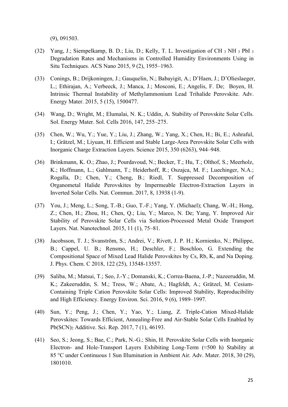(9), 091503.

- (32) Yang, J.; Siempelkamp, B. D.; Liu, D.; Kelly, T. L. Investigation of CH <sup>3</sup> NH <sup>3</sup> PbI <sup>3</sup> Degradation Rates and Mechanisms in Controlled Humidity Environments Using in Situ Techniques. ACS Nano 2015, 9 (2), 1955–1963.
- (33) Conings, B.; Drijkoningen, J.; Gauquelin, N.; Babayigit, A.; D'Haen, J.; D'Olieslaeger, L.; Ethirajan, A.; Verbeeck, J.; Manca, J.; Mosconi, E.; Angelis, F. De; Boyen, H. Intrinsic Thermal Instability of Methylammonium Lead Trihalide Perovskite. Adv. Energy Mater. 2015, 5 (15), 1500477.
- (34) Wang, D.; Wright, M.; Elumalai, N. K.; Uddin, A. Stability of Perovskite Solar Cells. Sol. Energy Mater. Sol. Cells 2016, 147, 255–275.
- (35) Chen, W.; Wu, Y.; Yue, Y.; Liu, J.; Zhang, W.; Yang, X.; Chen, H.; Bi, E.; Ashraful, I.; Grätzel, M.; Liyuan, H. Efficient and Stable Large-Area Perovskite Solar Cells with Inorganic Charge Extraction Layers. Science 2015, 350 (6263), 944–948.
- (36) Brinkmann, K. O.; Zhao, J.; Pourdavoud, N.; Becker, T.; Hu, T.; Olthof, S.; Meerholz, K.; Hoffmann, L.; Gahlmann, T.; Heiderhoff, R.; Oszajca, M. F.; Luechinger, N.A.; Rogalla, D.; Chen, Y.; Cheng, B.; Riedl, T. Suppressed Decomposition of Organometal Halide Perovskites by Impermeable Electron-Extraction Layers in Inverted Solar Cells. Nat. Commun. 2017, 8, 13938 (1-9).
- (37) You, J.; Meng, L.; Song, T.-B.; Guo, T.-F.; Yang, Y. (Michael); Chang, W.-H.; Hong, Z.; Chen, H.; Zhou, H.; Chen, Q.; Liu, Y.; Marco, N. De; Yang, Y. Improved Air Stability of Perovskite Solar Cells via Solution-Processed Metal Oxide Transport Layers. Nat. Nanotechnol. 2015, 11 (1), 75–81.
- (38) Jacobsson, T. J.; Svanström, S.; Andrei, V.; Rivett, J. P. H.; Kornienko, N.; Philippe, B.; Cappel, U. B.; Rensmo, H.; Deschler, F.; Boschloo, G. Extending the Compositional Space of Mixed Lead Halide Perovskites by Cs, Rb, K, and Na Doping. J. Phys. Chem. C 2018, 122 (25), 13548-13557.
- (39) Saliba, M.; Matsui, T.; Seo, J.-Y.; Domanski, K.; Correa-Baena, J.-P.; Nazeeruddin, M. K.; Zakeeruddin, S. M.; Tress, W.; Abate, A.; Hagfeldt, A.; Grätzel, M. Cesium-Containing Triple Cation Perovskite Solar Cells: Improved Stability, Reproducibility and High Efficiency. Energy Environ. Sci. 2016, 9 (6), 1989–1997.
- (40) Sun, Y.; Peng, J.; Chen, Y.; Yao, Y.; Liang, Z. Triple-Cation Mixed-Halide Perovskites: Towards Efficient, Annealing-Free and Air-Stable Solar Cells Enabled by Pb(SCN)<sup>2</sup> Additive. Sci. Rep. 2017, 7 (1), 46193.
- (41) Seo, S.; Jeong, S.; Bae, C.; Park, N.-G.; Shin, H. Perovskite Solar Cells with Inorganic Electron- and Hole-Transport Layers Exhibiting Long-Term (≈500 h) Stability at 85 °C under Continuous 1 Sun Illumination in Ambient Air. Adv. Mater. 2018, 30 (29), 1801010.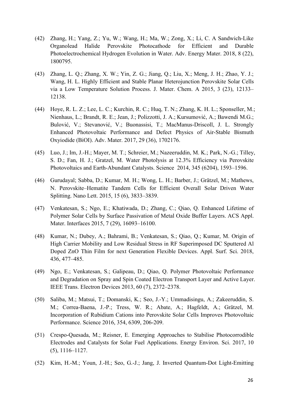- (42) Zhang, H.; Yang, Z.; Yu, W.; Wang, H.; Ma, W.; Zong, X.; Li, C. A Sandwich-Like Organolead Halide Perovskite Photocathode for Efficient and Durable Photoelectrochemical Hydrogen Evolution in Water. Adv. Energy Mater. 2018, 8 (22), 1800795.
- (43) Zhang, L. Q.; Zhang, X. W.; Yin, Z. G.; Jiang, Q.; Liu, X.; Meng, J. H.; Zhao, Y. J.; Wang, H. L. Highly Efficient and Stable Planar Heterojunction Perovskite Solar Cells via a Low Temperature Solution Process. J. Mater. Chem. A 2015, 3 (23), 12133– 12138.
- (44) Hoye, R. L. Z.; Lee, L. C.; Kurchin, R. C.; Huq, T. N.; Zhang, K. H. L.; Sponseller, M.; Nienhaus, L.; Brandt, R. E.; Jean, J.; Polizzotti, J. A.; Kursumović, A.; Bawendi M.G.; Bulović, V.; Stevanović, V.; Buonassisi, T.; MacManus-Driscoll, J. L. Strongly Enhanced Photovoltaic Performance and Defect Physics of Air-Stable Bismuth Oxyiodide (BiOI). Adv. Mater. 2017, 29 (36), 1702176.
- (45) Luo, J.; Im, J.-H.; Mayer, M. T.; Schreier, M.; Nazeeruddin, M. K.; Park, N.-G.; Tilley, S. D.; Fan, H. J.; Gratzel, M. Water Photolysis at 12.3% Efficiency via Perovskite Photovoltaics and Earth-Abundant Catalysts. Science 2014, 345 (6204), 1593–1596.
- (46) Gurudayal; Sabba, D.; Kumar, M. H.; Wong, L. H.; Barber, J.; Grätzel, M.; Mathews, N. Perovskite–Hematite Tandem Cells for Efficient Overall Solar Driven Water Splitting. Nano Lett. 2015, 15 (6), 3833–3839.
- (47) Venkatesan, S.; Ngo, E.; Khatiwada, D.; Zhang, C.; Qiao, Q. Enhanced Lifetime of Polymer Solar Cells by Surface Passivation of Metal Oxide Buffer Layers. ACS Appl. Mater. Interfaces 2015, 7 (29), 16093–16100.
- (48) Kumar, N.; Dubey, A.; Bahrami, B.; Venkatesan, S.; Qiao, Q.; Kumar, M. Origin of High Carrier Mobility and Low Residual Stress in RF Superimposed DC Sputtered Al Doped ZnO Thin Film for next Generation Flexible Devices. Appl. Surf. Sci. 2018, 436, 477–485.
- (49) Ngo, E.; Venkatesan, S.; Galipeau, D.; Qiao, Q. Polymer Photovoltaic Performance and Degradation on Spray and Spin Coated Electron Transport Layer and Active Layer. IEEE Trans. Electron Devices 2013, 60 (7), 2372–2378.
- (50) Saliba, M.; Matsui, T.; Domanski, K.; Seo, J.-Y.; Ummadisingu, A.; Zakeeruddin, S. M.; Correa-Baena, J.-P.; Tress, W. R.; Abate, A.; Hagfeldt, A.; Grätzel, M. Incorporation of Rubidium Cations into Perovskite Solar Cells Improves Photovoltaic Performance. Science 2016, 354, 6309, 206-209.
- (51) Crespo-Quesada, M.; Reisner, E. Emerging Approaches to Stabilise Photocorrodible Electrodes and Catalysts for Solar Fuel Applications. Energy Environ. Sci. 2017, 10 (5), 1116–1127.
- (52) Kim, H.-M.; Youn, J.-H.; Seo, G.-J.; Jang, J. Inverted Quantum-Dot Light-Emitting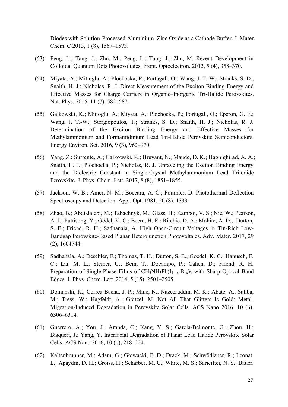Diodes with Solution-Processed Aluminium–Zinc Oxide as a Cathode Buffer. J. Mater. Chem. C 2013, 1 (8), 1567–1573.

- (53) Peng, L.; Tang, J.; Zhu, M.; Peng, L.; Tang, J.; Zhu, M. Recent Development in Colloidal Quantum Dots Photovoltaics. Front. Optoelectron. 2012, 5 (4), 358–370.
- (54) Miyata, A.; Mitioglu, A.; Plochocka, P.; Portugall, O.; Wang, J. T.-W.; Stranks, S. D.; Snaith, H. J.; Nicholas, R. J. Direct Measurement of the Exciton Binding Energy and Effective Masses for Charge Carriers in Organic–Inorganic Tri-Halide Perovskites. Nat. Phys. 2015, 11 (7), 582–587.
- (55) Galkowski, K.; Mitioglu, A.; Miyata, A.; Plochocka, P.; Portugall, O.; Eperon, G. E.; Wang, J. T.-W.; Stergiopoulos, T.; Stranks, S. D.; Snaith, H. J.; Nicholas, R. J. Determination of the Exciton Binding Energy and Effective Masses for Methylammonium and Formamidinium Lead Tri-Halide Perovskite Semiconductors. Energy Environ. Sci. 2016, 9 (3), 962–970.
- (56) Yang, Z.; Surrente, A.; Galkowski, K.; Bruyant, N.; Maude, D. K.; Haghighirad, A. A.; Snaith, H. J.; Plochocka, P.; Nicholas, R. J. Unraveling the Exciton Binding Energy and the Dielectric Constant in Single-Crystal Methylammonium Lead Triiodide Perovskite. J. Phys. Chem. Lett. 2017, 8 (8), 1851–1855.
- (57) Jackson, W. B.; Amer, N. M.; Boccara, A. C.; Fournier, D. Photothermal Deflection Spectroscopy and Detection. Appl. Opt. 1981, 20 (8), 1333.
- (58) Zhao, B.; Abdi-Jalebi, M.; Tabachnyk, M.; Glass, H.; Kamboj, V. S.; Nie, W.; Pearson, A. J.; Puttisong, Y.; Gödel, K. C.; Beere, H. E.; Ritchie, D. A.; Mohite, A. D.; Dutton, S. E.; Friend, R. H.; Sadhanala, A. High Open-Circuit Voltages in Tin-Rich Low-Bandgap Perovskite-Based Planar Heterojunction Photovoltaics. Adv. Mater. 2017, 29 (2), 1604744.
- (59) Sadhanala, A.; Deschler, F.; Thomas, T. H.; Dutton, S. E.; Goedel, K. C.; Hanusch, F. C.; Lai, M. L.; Steiner, U.; Bein, T.; Docampo, P.; Cahen, D.; Friend, R. H. Preparation of Single-Phase Films of  $CH_3NH_3Pb(I_{1-x} Br_x)$ <sub>3</sub> with Sharp Optical Band Edges. J. Phys. Chem. Lett. 2014, 5 (15), 2501–2505.
- (60) Domanski, K.; Correa-Baena, J.-P.; Mine, N.; Nazeeruddin, M. K.; Abate, A.; Saliba, M.; Tress, W.; Hagfeldt, A.; Grätzel, M. Not All That Glitters Is Gold: Metal-Migration-Induced Degradation in Perovskite Solar Cells. ACS Nano 2016, 10 (6), 6306–6314.
- (61) Guerrero, A.; You, J.; Aranda, C.; Kang, Y. S.; Garcia-Belmonte, G.; Zhou, H.; Bisquert, J.; Yang, Y. Interfacial Degradation of Planar Lead Halide Perovskite Solar Cells. ACS Nano 2016, 10 (1), 218–224.
- (62) Kaltenbrunner, M.; Adam, G.; Głowacki, E. D.; Drack, M.; Schwödiauer, R.; Leonat, L.; Apaydin, D. H.; Groiss, H.; Scharber, M. C.; White, M. S.; Sariciftci, N. S.; Bauer.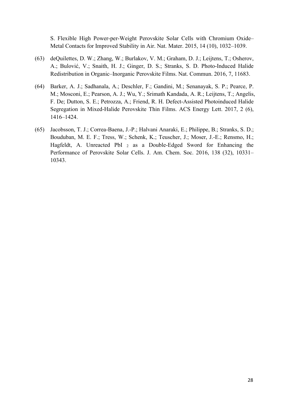S. Flexible High Power-per-Weight Perovskite Solar Cells with Chromium Oxide– Metal Contacts for Improved Stability in Air. Nat. Mater. 2015, 14 (10), 1032–1039.

- (63) deQuilettes, D. W.; Zhang, W.; Burlakov, V. M.; Graham, D. J.; Leijtens, T.; Osherov, A.; Bulović, V.; Snaith, H. J.; Ginger, D. S.; Stranks, S. D. Photo-Induced Halide Redistribution in Organic–Inorganic Perovskite Films. Nat. Commun. 2016, 7, 11683.
- (64) Barker, A. J.; Sadhanala, A.; Deschler, F.; Gandini, M.; Senanayak, S. P.; Pearce, P. M.; Mosconi, E.; Pearson, A. J.; Wu, Y.; Srimath Kandada, A. R.; Leijtens, T.; Angelis, F. De; Dutton, S. E.; Petrozza, A.; Friend, R. H. Defect-Assisted Photoinduced Halide Segregation in Mixed-Halide Perovskite Thin Films. ACS Energy Lett. 2017, 2 (6), 1416–1424.
- (65) Jacobsson, T. J.; Correa-Baena, J.-P.; Halvani Anaraki, E.; Philippe, B.; Stranks, S. D.; Bouduban, M. E. F.; Tress, W.; Schenk, K.; Teuscher, J.; Moser, J.-E.; Rensmo, H.; Hagfeldt, A. Unreacted PbI <sup>2</sup> as a Double-Edged Sword for Enhancing the Performance of Perovskite Solar Cells. J. Am. Chem. Soc. 2016, 138 (32), 10331– 10343.